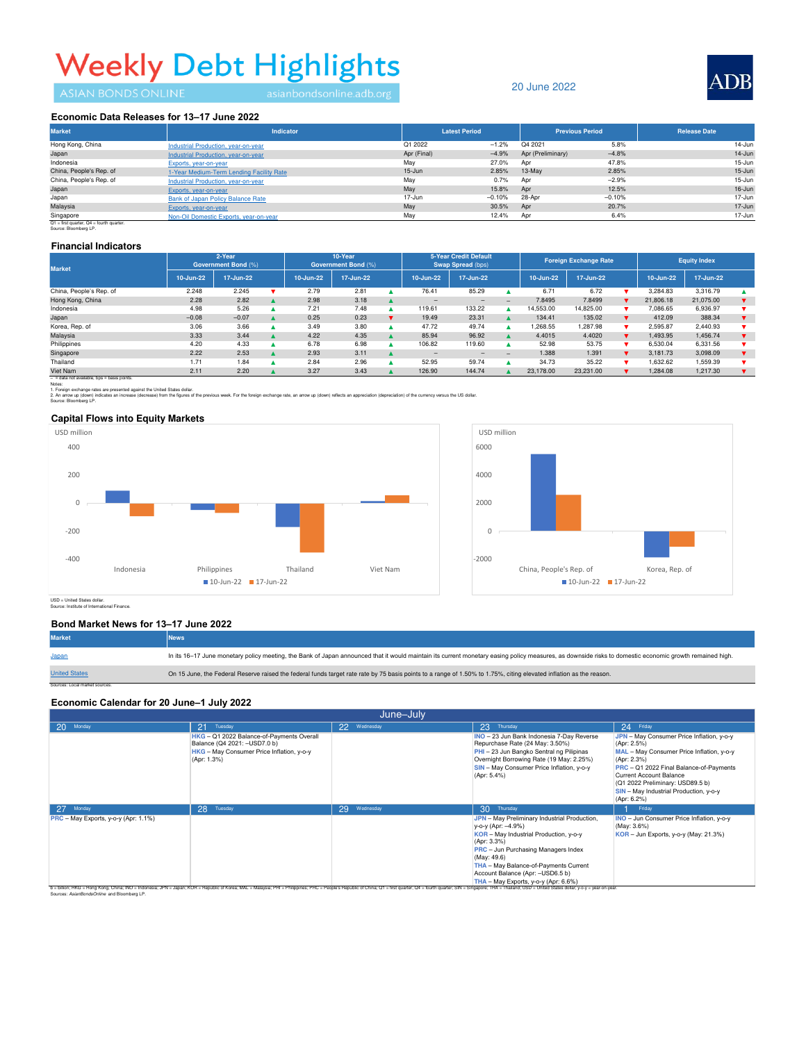# **Weekly Debt Highlights**

### 20 June 2022



#### Economic Data Releases for 13-17 June 2022

| <b>Market</b>           | <b>Indicator</b>                         | <b>Latest Period</b> |          | <b>Previous Period</b> |          | <b>Release Date</b> |
|-------------------------|------------------------------------------|----------------------|----------|------------------------|----------|---------------------|
| Hong Kong, China        | Industrial Production, year-on-year      | Q1 2022              | $-1.2%$  | Q4 2021                | 5.8%     | 14-Jun              |
| Japan                   | Industrial Production, year-on-year      | Apr (Final)          | $-4.9%$  | Apr (Preliminary)      | $-4.8%$  | $14 - Jun$          |
| Indonesia               | Exports, year-on-year                    | May                  | 27.0%    | Apr                    | 47.8%    | 15-Jun              |
| China, People's Rep. of | 1-Year Medium-Term Lending Facility Rate | $15 - Jun$           | 2.85%    | 13-May                 | 2.85%    | $15 - Jun$          |
| China, People's Rep. of | Industrial Production, year-on-year      | May                  | 0.7%     | Apr                    | $-2.9%$  | 15-Jun              |
| Japan                   | Exports, year-on-year                    | May                  | 15.8%    | Apr                    | 12.5%    | $16 - Jun$          |
| Japan                   | <b>Bank of Japan Policy Balance Rate</b> | 17-Jun               | $-0.10%$ | 28-Apr                 | $-0.10%$ | 17-Jun              |
| Malaysia                | Exports, year-on-year                    | May                  | 30.5%    | Apr                    | 20.7%    | $17 - Jun$          |
| Singapore               | Non-Oil Domestic Exports, year-on-year   | May                  | 12.4%    | Apr                    | 6.4%     | 17-Jun              |

Q1 = first quarter, Q4 = fourth quarter. Source: Bloomberg LP.

#### **Financial Indicators**

| <b>Market</b>           | 2-Year<br><b>Government Bond (%)</b> |           | 10-Year<br><b>Government Bond (%)</b> |           | 5-Year Credit Default<br>Swap Spread (bps) |  | <b>Foreign Exchange Rate</b> |           | <b>Equity Index</b> |           |           |  |           |           |  |
|-------------------------|--------------------------------------|-----------|---------------------------------------|-----------|--------------------------------------------|--|------------------------------|-----------|---------------------|-----------|-----------|--|-----------|-----------|--|
|                         | 10-Jun-22                            | 17-Jun-22 |                                       | 10-Jun-22 | 17-Jun-22                                  |  | 10-Jun-22                    | 17-Jun-22 |                     | 10-Jun-22 | 17-Jun-22 |  | 10-Jun-22 | 17-Jun-22 |  |
| China, People's Rep. of | 2.248                                | 2.245     |                                       | 2.79      | 2.81                                       |  | 76.41                        | 85.29     |                     | 6.71      | 6.72      |  | 3.284.83  | 3.316.79  |  |
| Hong Kong, China        | 2.28                                 | 2.82      |                                       | 2.98      | 3.18                                       |  | $-$                          | -         | $\qquad \qquad -$   | 7.8495    | 7.8499    |  | 21,806.18 | 21.075.00 |  |
| Indonesia               | 4.98                                 | 5.26      |                                       | 7.21      | 7.48                                       |  | 119.61                       | 133.22    |                     | 14.553.00 | 14,825.00 |  | 7,086.65  | 6,936.97  |  |
| Japan                   | $-0.08$                              | $-0.07$   |                                       | 0.25      | 0.23                                       |  | 19.49                        | 23.31     |                     | 134.41    | 135.02    |  | 412.09    | 388.34    |  |
| Korea, Rep. of          | 3.06                                 | 3.66      |                                       | 3.49      | 3.80                                       |  | 47.72                        | 49.74     |                     | 1.268.55  | 1.287.98  |  | 2.595.87  | 2.440.93  |  |
| Malaysia                | 3.33                                 | 3.44      |                                       | 4.22      | 4.35                                       |  | 85.94                        | 96.92     |                     | 4.4015    | 4.4020    |  | 1.493.95  | 1,456.74  |  |
| Philippines             | 4.20                                 | 4.33      |                                       | 6.78      | 6.98                                       |  | 106.82                       | 119.60    |                     | 52.98     | 53.75     |  | 6.530.04  | 6.331.56  |  |
| Singapore               | 2.22                                 | 2.53      |                                       | 2.93      | 3.11                                       |  | -                            | $-$       | $\sim$              | 1.388     | 1.391     |  | 3.181.73  | 3.098.09  |  |
| Thailand                | 1.71                                 | 1.84      |                                       | 2.84      | 2.96                                       |  | 52.95                        | 59.74     |                     | 34.73     | 35.22     |  | 1.632.62  | 1.559.39  |  |
| Viet Nam                | 2.11                                 | 2.20      |                                       | 3.27      | 3.43                                       |  | 126.90                       | 144.74    |                     | 23,178,00 | 23.231.00 |  | 1.284.08  | 1,217,30  |  |

– = data not available, bps = basis points. Notes:

1. Foreign exchange rates are presented against the United States dollar.<br>2. An arrow up (down) indicates an increase (decrease) from the figures of the previous week. For the foreign exchange rate, an arrow up (down) refl

Source: Bloomberg LP.

#### **Capital Flows into Equity Markets**





USD = United States dollar. Source: Institute of International Finance.

#### **Bond Market News for 13–17 June 2022**

| <b>Market</b>                  | <b>News</b>                                                                                                                                                                                             |
|--------------------------------|---------------------------------------------------------------------------------------------------------------------------------------------------------------------------------------------------------|
| Japan                          | In its 16-17 June monetary policy meeting, the Bank of Japan announced that it would maintain its current monetary easing policy measures, as downside risks to domestic economic growth remained high. |
| <b>United States</b>           | On 15 June, the Federal Reserve raised the federal funds target rate rate by 75 basis points to a range of 1.50% to 1.75%, citing elevated inflation as the reason.                                     |
| Sources: Local market sources. |                                                                                                                                                                                                         |

#### **Economic Calendar for 20 June–1 July 2022**

| June-July                                                                                                                          |                                                                                                                                        |                 |                                                                                                                                                                                                                                                                                                                                                                                               |                                                                                                                                                                                                                                                                                                |  |  |  |  |  |  |
|------------------------------------------------------------------------------------------------------------------------------------|----------------------------------------------------------------------------------------------------------------------------------------|-----------------|-----------------------------------------------------------------------------------------------------------------------------------------------------------------------------------------------------------------------------------------------------------------------------------------------------------------------------------------------------------------------------------------------|------------------------------------------------------------------------------------------------------------------------------------------------------------------------------------------------------------------------------------------------------------------------------------------------|--|--|--|--|--|--|
| 20 <sup>°</sup><br>Monday                                                                                                          | Tuesday<br>21                                                                                                                          | Wednesday<br>22 | 23<br>Thursday                                                                                                                                                                                                                                                                                                                                                                                | 24 Friday                                                                                                                                                                                                                                                                                      |  |  |  |  |  |  |
|                                                                                                                                    | HKG - Q1 2022 Balance-of-Payments Overall<br>Balance (Q4 2021: - USD7.0 b)<br>HKG - May Consumer Price Inflation, y-o-y<br>(Apr: 1.3%) |                 | INO - 23 Jun Bank Indonesia 7-Day Reverse<br>Repurchase Rate (24 May: 3.50%)<br>PHI - 23 Jun Bangko Sentral ng Pilipinas<br>Overnight Borrowing Rate (19 May: 2.25%)<br>SIN - May Consumer Price Inflation, y-o-y<br>(Apr: 5.4%)                                                                                                                                                              | JPN - May Consumer Price Inflation, y-o-y<br>(Apr: 2.5%)<br>MAL - May Consumer Price Inflation, y-o-y<br>(Apr: 2.3%)<br>PRC - Q1 2022 Final Balance-of-Payments<br><b>Current Account Balance</b><br>(Q1 2022 Preliminary: USD89.5 b)<br>SIN - May Industrial Production, y-o-y<br>(Apr: 6.2%) |  |  |  |  |  |  |
| 27<br>Monday                                                                                                                       | 28<br>Tuesday                                                                                                                          | 29<br>Wednesday | 30 <sub>1</sub><br>Thursday                                                                                                                                                                                                                                                                                                                                                                   | Friday                                                                                                                                                                                                                                                                                         |  |  |  |  |  |  |
| PRC - May Exports, y-o-y (Apr: 1.1%)<br>b = billion: HKG = Hong Kong, China: INO = Indonesia: JPN = Japan: KOR = Republic of Korea |                                                                                                                                        |                 | JPN - May Preliminary Industrial Production,<br>y-o-y (Apr: -4.9%)<br>KOR - May Industrial Production, y-o-y<br>(Apr: 3.3%)<br><b>PRC</b> - Jun Purchasing Managers Index<br>(May: 49.6)<br>THA - May Balance-of-Payments Current<br>Account Balance (Apr: - USD6.5 b)<br>THA - May Exports, y-o-y (Apr: 6.6%)<br>Singapore: THA = Thailand; USD = United States dollar; y-o-y = year-on-year | INO - Jun Consumer Price Inflation, y-o-y<br>(May: 3.6%)<br>KOR - Jun Exports, y-o-y (May: 21.3%)                                                                                                                                                                                              |  |  |  |  |  |  |

Sources: AsianBondsOnline and Bloomberg LP.